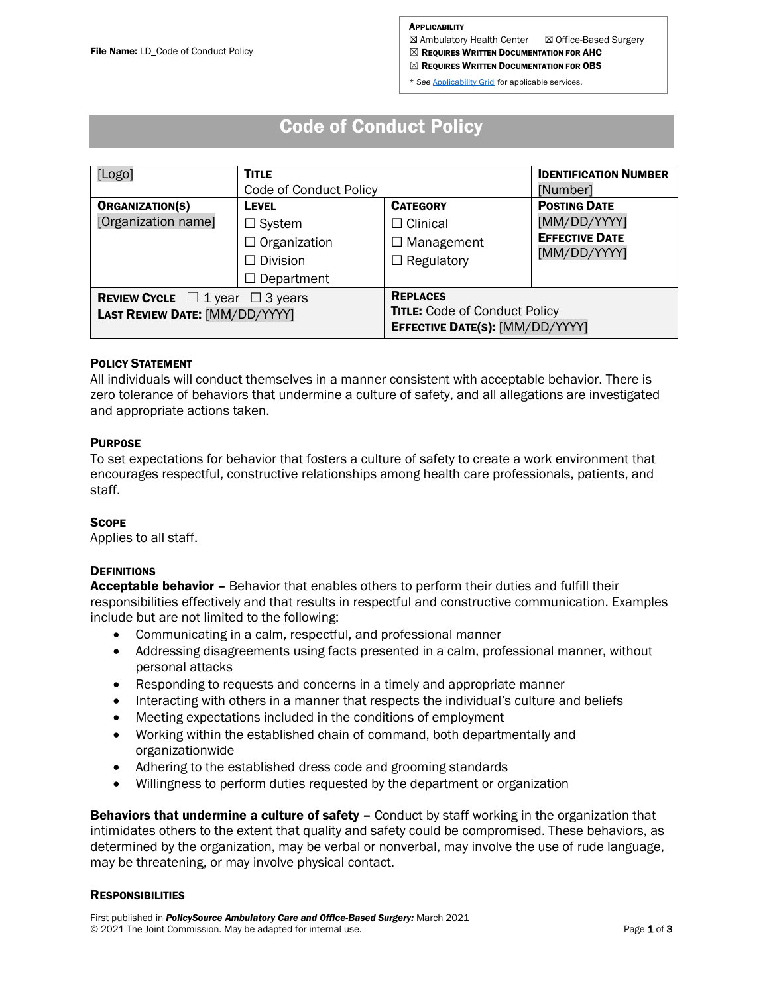**⊠ Ambulatory Health Center ⊠ Office-Based Surgery** 

 $\boxtimes$  Requires Written Documentation for AHC

 $\boxtimes$  Requires Written Documentation for OBS

\* *See* [Applicability Grid](https://www.jcrglobaled.net/PolicySourceAHC/Applicability_Grid.xlsx) for applicable services.

# Code of Conduct Policy

| [Logo]                                                                                                     | <b>TITLE</b><br>Code of Conduct Policy                                  |                                                                                            | <b>IDENTIFICATION NUMBER</b><br>[Number]                                     |
|------------------------------------------------------------------------------------------------------------|-------------------------------------------------------------------------|--------------------------------------------------------------------------------------------|------------------------------------------------------------------------------|
| <b>ORGANIZATION(S)</b><br>[Organization name]                                                              | <b>LEVEL</b><br>$\Box$ System<br>$\Box$ Organization<br>$\Box$ Division | <b>CATEGORY</b><br>$\square$ Clinical<br>$\Box$ Management<br>$\Box$ Regulatory            | <b>POSTING DATE</b><br>[MM/DD/YYYY]<br><b>EFFECTIVE DATE</b><br>[MM/DD/YYYY] |
| Department<br>$\Box$<br><b>REVIEW CYCLE</b> $\Box$ 1 year $\Box$ 3 years<br>LAST REVIEW DATE: [MM/DD/YYYY] |                                                                         | <b>REPLACES</b><br><b>TITLE: Code of Conduct Policy</b><br>EFFECTIVE DATE(S): [MM/DD/YYYY] |                                                                              |

# POLICY STATEMENT

All individuals will conduct themselves in a manner consistent with acceptable behavior. There is zero tolerance of behaviors that undermine a culture of safety, and all allegations are investigated and appropriate actions taken.

## **PURPOSE**

To set expectations for behavior that fosters a culture of safety to create a work environment that encourages respectful, constructive relationships among health care professionals, patients, and staff.

#### **SCOPE**

Applies to all staff.

# **DEFINITIONS**

Acceptable behavior - Behavior that enables others to perform their duties and fulfill their responsibilities effectively and that results in respectful and constructive communication. Examples include but are not limited to the following:

- Communicating in a calm, respectful, and professional manner
- Addressing disagreements using facts presented in a calm, professional manner, without personal attacks
- Responding to requests and concerns in a timely and appropriate manner
- Interacting with others in a manner that respects the individual's culture and beliefs
- Meeting expectations included in the conditions of employment
- Working within the established chain of command, both departmentally and organizationwide
- Adhering to the established dress code and grooming standards
- Willingness to perform duties requested by the department or organization

**Behaviors that undermine a culture of safety –** Conduct by staff working in the organization that intimidates others to the extent that quality and safety could be compromised. These behaviors, as determined by the organization, may be verbal or nonverbal, may involve the use of rude language, may be threatening, or may involve physical contact.

#### **RESPONSIBILITIES**

First published in *PolicySource Ambulatory Care and Office-Based Surgery:* March 2021 © 2021 The Joint Commission. May be adapted for internal use. example and the state of the Page 1 of 3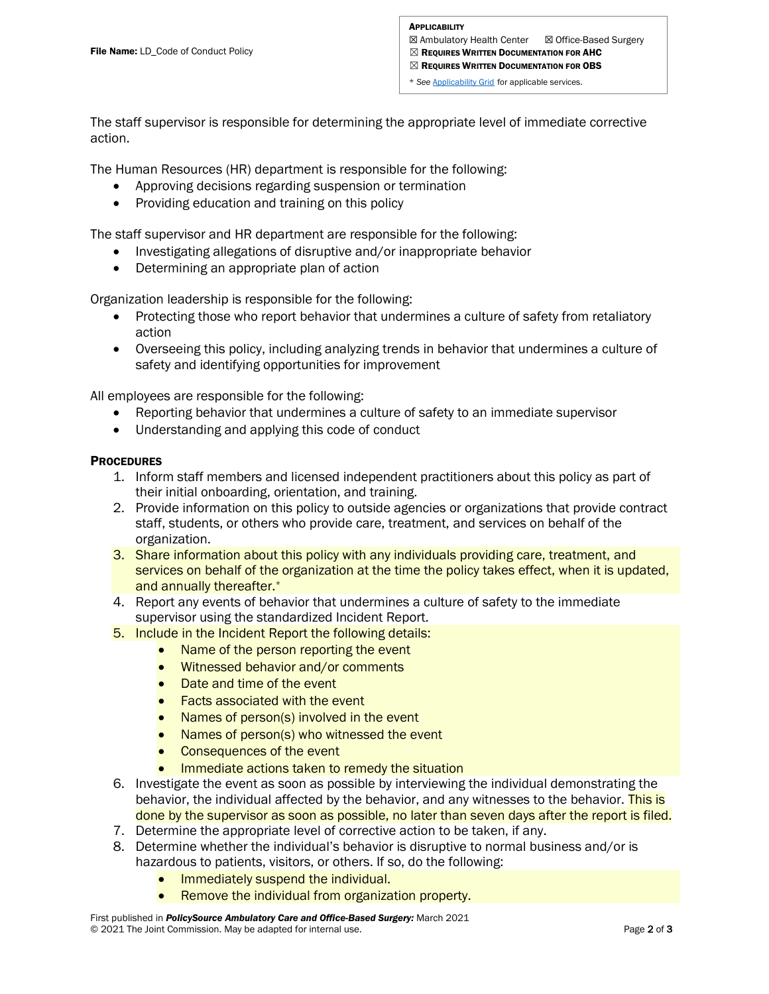**⊠ Ambulatory Health Center ⊠ Office-Based Surgery**  $\boxtimes$  Requires Written Documentation for AHC

 $\boxtimes$  Requires Written Documentation for OBS

\* *See* [Applicability Grid](https://www.jcrglobaled.net/PolicySourceAHC/Applicability_Grid.xlsx) for applicable services.

The staff supervisor is responsible for determining the appropriate level of immediate corrective action.

The Human Resources (HR) department is responsible for the following:

- Approving decisions regarding suspension or termination
- Providing education and training on this policy

The staff supervisor and HR department are responsible for the following:

- Investigating allegations of disruptive and/or inappropriate behavior
- Determining an appropriate plan of action

Organization leadership is responsible for the following:

- Protecting those who report behavior that undermines a culture of safety from retaliatory action
- Overseeing this policy, including analyzing trends in behavior that undermines a culture of safety and identifying opportunities for improvement

All employees are responsible for the following:

- Reporting behavior that undermines a culture of safety to an immediate supervisor
- Understanding and applying this code of conduct

# **PROCEDURES**

- 1. Inform staff members and licensed independent practitioners about this policy as part of their initial onboarding, orientation, and training.
- 2. Provide information on this policy to outside agencies or organizations that provide contract staff, students, or others who provide care, treatment, and services on behalf of the organization.
- 3. Share information about this policy with any individuals providing care, treatment, and services on behalf of the organization at the time the policy takes effect, when it is updated, and annually thereafter.\*
- 4. Report any events of behavior that undermines a culture of safety to the immediate supervisor using the standardized Incident Report.
- 5. Include in the Incident Report the following details:
	- Name of the person reporting the event
	- Witnessed behavior and/or comments
	- Date and time of the event
	- Facts associated with the event
	- Names of person(s) involved in the event
	- Names of person(s) who witnessed the event
	- Consequences of the event
	- Immediate actions taken to remedy the situation
- 6. Investigate the event as soon as possible by interviewing the individual demonstrating the behavior, the individual affected by the behavior, and any witnesses to the behavior. This is done by the supervisor as soon as possible, no later than seven days after the report is filed.
- 7. Determine the appropriate level of corrective action to be taken, if any.
- 8. Determine whether the individual's behavior is disruptive to normal business and/or is hazardous to patients, visitors, or others. If so, do the following:
	- Immediately suspend the individual.
	- Remove the individual from organization property.

First published in *PolicySource Ambulatory Care and Office-Based Surgery:* March 2021 © 2021 The Joint Commission. May be adapted for internal use. example and the state of the Page 2 of 3